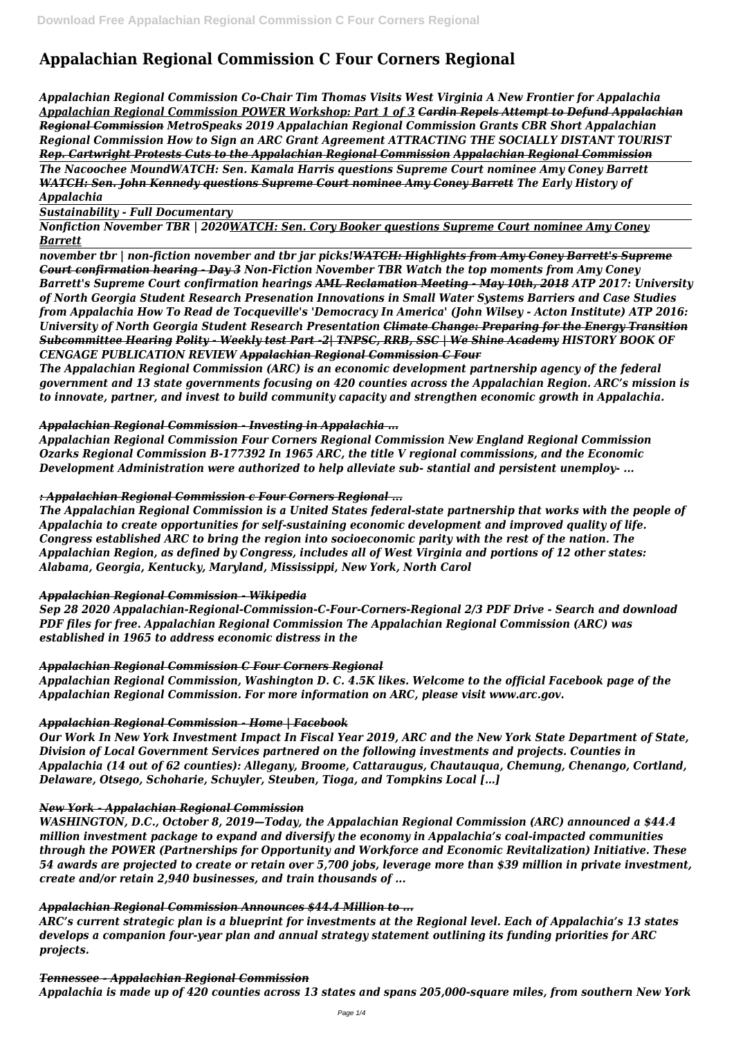# **Appalachian Regional Commission C Four Corners Regional**

*Appalachian Regional Commission Co-Chair Tim Thomas Visits West Virginia A New Frontier for Appalachia Appalachian Regional Commission POWER Workshop: Part 1 of 3 Cardin Repels Attempt to Defund Appalachian Regional Commission MetroSpeaks 2019 Appalachian Regional Commission Grants CBR Short Appalachian Regional Commission How to Sign an ARC Grant Agreement ATTRACTING THE SOCIALLY DISTANT TOURIST Rep. Cartwright Protests Cuts to the Appalachian Regional Commission Appalachian Regional Commission The Nacoochee MoundWATCH: Sen. Kamala Harris questions Supreme Court nominee Amy Coney Barrett WATCH: Sen. John Kennedy questions Supreme Court nominee Amy Coney Barrett The Early History of Appalachia* 

*Sustainability - Full Documentary*

*Nonfiction November TBR | 2020WATCH: Sen. Cory Booker questions Supreme Court nominee Amy Coney Barrett*

*november tbr | non-fiction november and tbr jar picks!WATCH: Highlights from Amy Coney Barrett's Supreme Court confirmation hearing - Day 3 Non-Fiction November TBR Watch the top moments from Amy Coney Barrett's Supreme Court confirmation hearings AML Reclamation Meeting - May 10th, 2018 ATP 2017: University of North Georgia Student Research Presenation Innovations in Small Water Systems Barriers and Case Studies from Appalachia How To Read de Tocqueville's 'Democracy In America' (John Wilsey - Acton Institute) ATP 2016: University of North Georgia Student Research Presentation Climate Change: Preparing for the Energy Transition Subcommittee Hearing Polity - Weekly test Part -2| TNPSC, RRB, SSC | We Shine Academy HISTORY BOOK OF CENGAGE PUBLICATION REVIEW Appalachian Regional Commission C Four*

*The Appalachian Regional Commission (ARC) is an economic development partnership agency of the federal government and 13 state governments focusing on 420 counties across the Appalachian Region. ARC's mission is to innovate, partner, and invest to build community capacity and strengthen economic growth in Appalachia.*

#### *Appalachian Regional Commission - Investing in Appalachia ...*

*Appalachian Regional Commission Four Corners Regional Commission New England Regional Commission Ozarks Regional Commission B-177392 In 1965 ARC, the title V regional commissions, and the Economic Development Administration were authorized to help alleviate sub- stantial and persistent unemploy- ...*

## *: Appalachian Regional Commission c Four Corners Regional ...*

*The Appalachian Regional Commission is a United States federal-state partnership that works with the people of Appalachia to create opportunities for self-sustaining economic development and improved quality of life. Congress established ARC to bring the region into socioeconomic parity with the rest of the nation. The Appalachian Region, as defined by Congress, includes all of West Virginia and portions of 12 other states: Alabama, Georgia, Kentucky, Maryland, Mississippi, New York, North Carol*

## *Appalachian Regional Commission - Wikipedia*

*Sep 28 2020 Appalachian-Regional-Commission-C-Four-Corners-Regional 2/3 PDF Drive - Search and download PDF files for free. Appalachian Regional Commission The Appalachian Regional Commission (ARC) was established in 1965 to address economic distress in the*

## *Appalachian Regional Commission C Four Corners Regional*

*Appalachian Regional Commission, Washington D. C. 4.5K likes. Welcome to the official Facebook page of the Appalachian Regional Commission. For more information on ARC, please visit www.arc.gov.*

## *Appalachian Regional Commission - Home | Facebook*

*Our Work In New York Investment Impact In Fiscal Year 2019, ARC and the New York State Department of State, Division of Local Government Services partnered on the following investments and projects. Counties in Appalachia (14 out of 62 counties): Allegany, Broome, Cattaraugus, Chautauqua, Chemung, Chenango, Cortland, Delaware, Otsego, Schoharie, Schuyler, Steuben, Tioga, and Tompkins Local […]*

#### *New York - Appalachian Regional Commission*

*WASHINGTON, D.C., October 8, 2019—Today, the Appalachian Regional Commission (ARC) announced a \$44.4 million investment package to expand and diversify the economy in Appalachia's coal-impacted communities through the POWER (Partnerships for Opportunity and Workforce and Economic Revitalization) Initiative. These 54 awards are projected to create or retain over 5,700 jobs, leverage more than \$39 million in private investment, create and/or retain 2,940 businesses, and train thousands of ...*

#### *Appalachian Regional Commission Announces \$44.4 Million to ...*

*ARC's current strategic plan is a blueprint for investments at the Regional level. Each of Appalachia's 13 states develops a companion four-year plan and annual strategy statement outlining its funding priorities for ARC projects.*

#### *Tennessee - Appalachian Regional Commission*

*Appalachia is made up of 420 counties across 13 states and spans 205,000-square miles, from southern New York*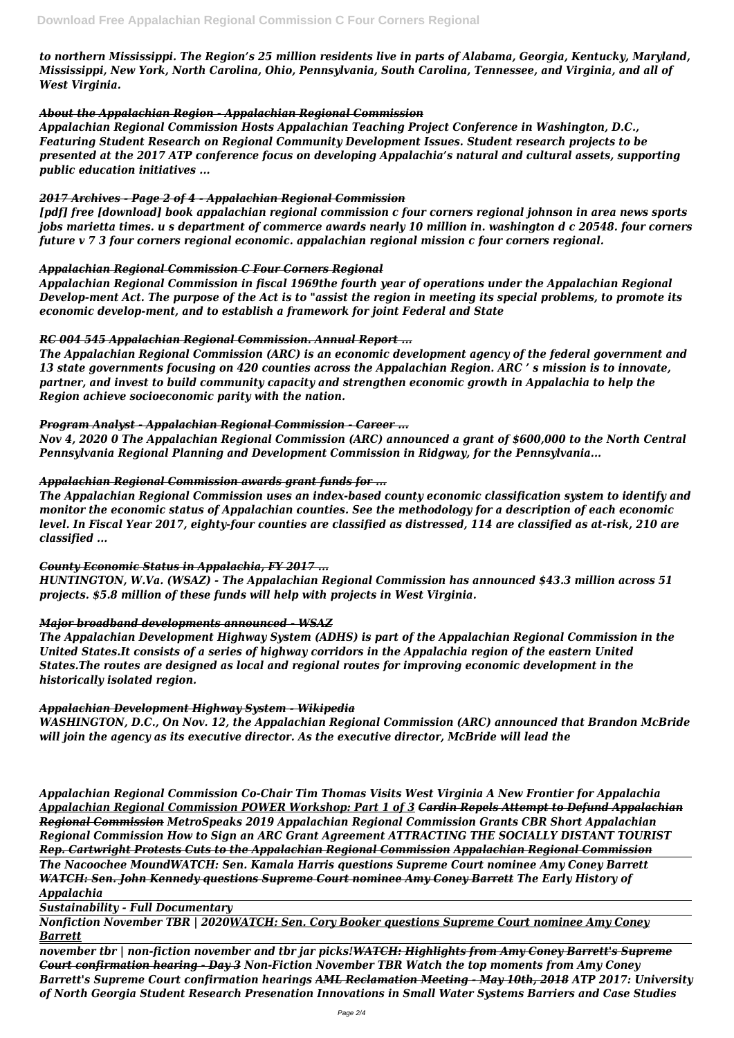*to northern Mississippi. The Region's 25 million residents live in parts of Alabama, Georgia, Kentucky, Maryland, Mississippi, New York, North Carolina, Ohio, Pennsylvania, South Carolina, Tennessee, and Virginia, and all of West Virginia.*

#### *About the Appalachian Region - Appalachian Regional Commission*

*Appalachian Regional Commission Hosts Appalachian Teaching Project Conference in Washington, D.C., Featuring Student Research on Regional Community Development Issues. Student research projects to be presented at the 2017 ATP conference focus on developing Appalachia's natural and cultural assets, supporting public education initiatives ...*

#### *2017 Archives - Page 2 of 4 - Appalachian Regional Commission*

*[pdf] free [download] book appalachian regional commission c four corners regional johnson in area news sports jobs marietta times. u s department of commerce awards nearly 10 million in. washington d c 20548. four corners future v 7 3 four corners regional economic. appalachian regional mission c four corners regional.*

#### *Appalachian Regional Commission C Four Corners Regional*

*Appalachian Regional Commission in fiscal 1969the fourth year of operations under the Appalachian Regional Develop-ment Act. The purpose of the Act is to "assist the region in meeting its special problems, to promote its economic develop-ment, and to establish a framework for joint Federal and State*

#### *RC 004 545 Appalachian Regional Commission. Annual Report ...*

*The Appalachian Regional Commission (ARC) is an economic development agency of the federal government and 13 state governments focusing on 420 counties across the Appalachian Region. ARC ' s mission is to innovate, partner, and invest to build community capacity and strengthen economic growth in Appalachia to help the Region achieve socioeconomic parity with the nation.*

## *Program Analyst - Appalachian Regional Commission - Career ...*

*Nov 4, 2020 0 The Appalachian Regional Commission (ARC) announced a grant of \$600,000 to the North Central Pennsylvania Regional Planning and Development Commission in Ridgway, for the Pennsylvania...*

#### *Appalachian Regional Commission awards grant funds for ...*

*The Appalachian Regional Commission uses an index-based county economic classification system to identify and monitor the economic status of Appalachian counties. See the methodology for a description of each economic level. In Fiscal Year 2017, eighty-four counties are classified as distressed, 114 are classified as at-risk, 210 are classified ...*

## *County Economic Status in Appalachia, FY 2017 ...*

*HUNTINGTON, W.Va. (WSAZ) - The Appalachian Regional Commission has announced \$43.3 million across 51 projects. \$5.8 million of these funds will help with projects in West Virginia.*

## *Major broadband developments announced - WSAZ*

*The Appalachian Development Highway System (ADHS) is part of the Appalachian Regional Commission in the United States.It consists of a series of highway corridors in the Appalachia region of the eastern United States.The routes are designed as local and regional routes for improving economic development in the historically isolated region.*

#### *Appalachian Development Highway System - Wikipedia*

*WASHINGTON, D.C., On Nov. 12, the Appalachian Regional Commission (ARC) announced that Brandon McBride will join the agency as its executive director. As the executive director, McBride will lead the*

*Appalachian Regional Commission Co-Chair Tim Thomas Visits West Virginia A New Frontier for Appalachia Appalachian Regional Commission POWER Workshop: Part 1 of 3 Cardin Repels Attempt to Defund Appalachian Regional Commission MetroSpeaks 2019 Appalachian Regional Commission Grants CBR Short Appalachian Regional Commission How to Sign an ARC Grant Agreement ATTRACTING THE SOCIALLY DISTANT TOURIST Rep. Cartwright Protests Cuts to the Appalachian Regional Commission Appalachian Regional Commission The Nacoochee MoundWATCH: Sen. Kamala Harris questions Supreme Court nominee Amy Coney Barrett WATCH: Sen. John Kennedy questions Supreme Court nominee Amy Coney Barrett The Early History of Appalachia* 

*Sustainability - Full Documentary*

*Nonfiction November TBR | 2020WATCH: Sen. Cory Booker questions Supreme Court nominee Amy Coney Barrett*

*november tbr | non-fiction november and tbr jar picks!WATCH: Highlights from Amy Coney Barrett's Supreme Court confirmation hearing - Day 3 Non-Fiction November TBR Watch the top moments from Amy Coney Barrett's Supreme Court confirmation hearings AML Reclamation Meeting - May 10th, 2018 ATP 2017: University of North Georgia Student Research Presenation Innovations in Small Water Systems Barriers and Case Studies*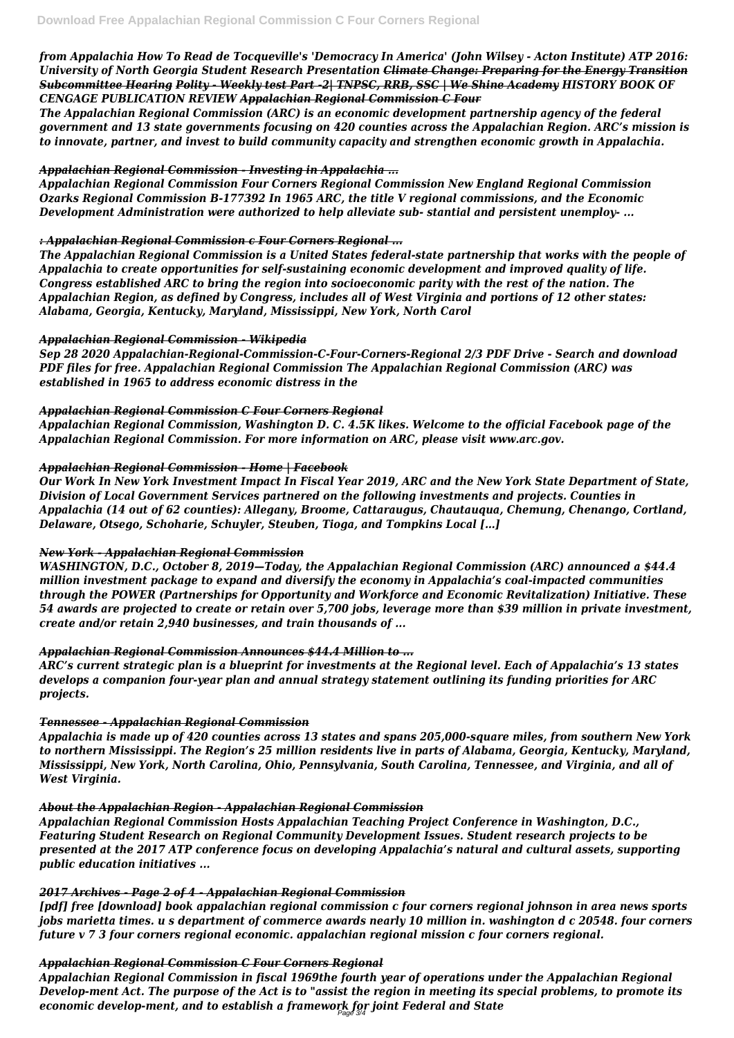*from Appalachia How To Read de Tocqueville's 'Democracy In America' (John Wilsey - Acton Institute) ATP 2016: University of North Georgia Student Research Presentation Climate Change: Preparing for the Energy Transition Subcommittee Hearing Polity - Weekly test Part -2| TNPSC, RRB, SSC | We Shine Academy HISTORY BOOK OF CENGAGE PUBLICATION REVIEW Appalachian Regional Commission C Four*

*The Appalachian Regional Commission (ARC) is an economic development partnership agency of the federal government and 13 state governments focusing on 420 counties across the Appalachian Region. ARC's mission is to innovate, partner, and invest to build community capacity and strengthen economic growth in Appalachia.*

## *Appalachian Regional Commission - Investing in Appalachia ...*

*Appalachian Regional Commission Four Corners Regional Commission New England Regional Commission Ozarks Regional Commission B-177392 In 1965 ARC, the title V regional commissions, and the Economic Development Administration were authorized to help alleviate sub- stantial and persistent unemploy- ...*

## *: Appalachian Regional Commission c Four Corners Regional ...*

*The Appalachian Regional Commission is a United States federal-state partnership that works with the people of Appalachia to create opportunities for self-sustaining economic development and improved quality of life. Congress established ARC to bring the region into socioeconomic parity with the rest of the nation. The Appalachian Region, as defined by Congress, includes all of West Virginia and portions of 12 other states: Alabama, Georgia, Kentucky, Maryland, Mississippi, New York, North Carol*

## *Appalachian Regional Commission - Wikipedia*

*Sep 28 2020 Appalachian-Regional-Commission-C-Four-Corners-Regional 2/3 PDF Drive - Search and download PDF files for free. Appalachian Regional Commission The Appalachian Regional Commission (ARC) was established in 1965 to address economic distress in the*

## *Appalachian Regional Commission C Four Corners Regional*

*Appalachian Regional Commission, Washington D. C. 4.5K likes. Welcome to the official Facebook page of the Appalachian Regional Commission. For more information on ARC, please visit www.arc.gov.*

## *Appalachian Regional Commission - Home | Facebook*

*Our Work In New York Investment Impact In Fiscal Year 2019, ARC and the New York State Department of State, Division of Local Government Services partnered on the following investments and projects. Counties in Appalachia (14 out of 62 counties): Allegany, Broome, Cattaraugus, Chautauqua, Chemung, Chenango, Cortland, Delaware, Otsego, Schoharie, Schuyler, Steuben, Tioga, and Tompkins Local […]*

## *New York - Appalachian Regional Commission*

*WASHINGTON, D.C., October 8, 2019—Today, the Appalachian Regional Commission (ARC) announced a \$44.4 million investment package to expand and diversify the economy in Appalachia's coal-impacted communities through the POWER (Partnerships for Opportunity and Workforce and Economic Revitalization) Initiative. These 54 awards are projected to create or retain over 5,700 jobs, leverage more than \$39 million in private investment, create and/or retain 2,940 businesses, and train thousands of ...*

## *Appalachian Regional Commission Announces \$44.4 Million to ...*

*ARC's current strategic plan is a blueprint for investments at the Regional level. Each of Appalachia's 13 states develops a companion four-year plan and annual strategy statement outlining its funding priorities for ARC projects.*

## *Tennessee - Appalachian Regional Commission*

*Appalachia is made up of 420 counties across 13 states and spans 205,000-square miles, from southern New York to northern Mississippi. The Region's 25 million residents live in parts of Alabama, Georgia, Kentucky, Maryland, Mississippi, New York, North Carolina, Ohio, Pennsylvania, South Carolina, Tennessee, and Virginia, and all of West Virginia.*

## *About the Appalachian Region - Appalachian Regional Commission*

*Appalachian Regional Commission Hosts Appalachian Teaching Project Conference in Washington, D.C., Featuring Student Research on Regional Community Development Issues. Student research projects to be presented at the 2017 ATP conference focus on developing Appalachia's natural and cultural assets, supporting public education initiatives ...*

#### *2017 Archives - Page 2 of 4 - Appalachian Regional Commission*

*[pdf] free [download] book appalachian regional commission c four corners regional johnson in area news sports jobs marietta times. u s department of commerce awards nearly 10 million in. washington d c 20548. four corners future v 7 3 four corners regional economic. appalachian regional mission c four corners regional.*

#### *Appalachian Regional Commission C Four Corners Regional*

*Appalachian Regional Commission in fiscal 1969the fourth year of operations under the Appalachian Regional Develop-ment Act. The purpose of the Act is to "assist the region in meeting its special problems, to promote its economic develop-ment, and to establish a framework for joint Federal and State* Page 3/4